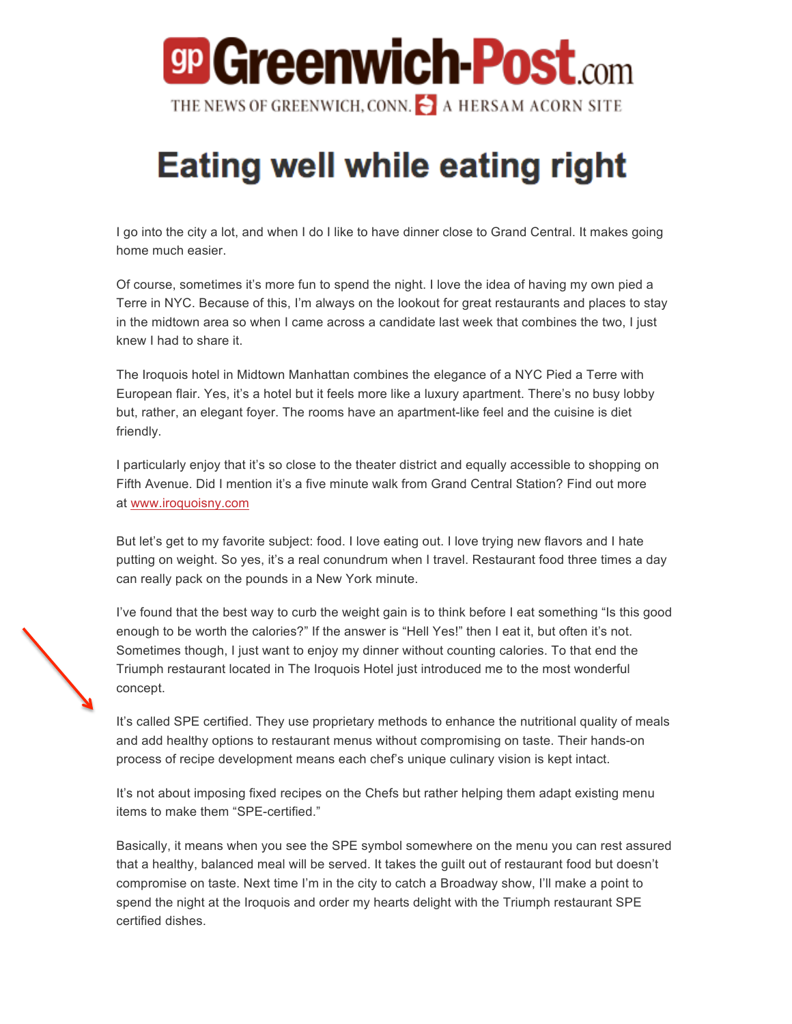## **gp Greenwich-Post**.com THE NEWS OF GREENWICH, CONN. A HERSAM ACORN SITE

## **Eating well while eating right**

I go into the city a lot, and when I do I like to have dinner close to Grand Central. It makes going home much easier.

Of course, sometimes it's more fun to spend the night. I love the idea of having my own pied a Terre in NYC. Because of this, I'm always on the lookout for great restaurants and places to stay in the midtown area so when I came across a candidate last week that combines the two, I just knew I had to share it.

The Iroquois hotel in Midtown Manhattan combines the elegance of a NYC Pied a Terre with European flair. Yes, it's a hotel but it feels more like a luxury apartment. There's no busy lobby but, rather, an elegant foyer. The rooms have an apartment-like feel and the cuisine is diet friendly.

I particularly enjoy that it's so close to the theater district and equally accessible to shopping on Fifth Avenue. Did I mention it's a five minute walk from Grand Central Station? Find out more at www.iroquoisny.com

But let's get to my favorite subject: food. I love eating out. I love trying new flavors and I hate putting on weight. So yes, it's a real conundrum when I travel. Restaurant food three times a day can really pack on the pounds in a New York minute.

I've found that the best way to curb the weight gain is to think before I eat something "Is this good enough to be worth the calories?" If the answer is "Hell Yes!" then I eat it, but often it's not. Sometimes though, I just want to enjoy my dinner without counting calories. To that end the Triumph restaurant located in The Iroquois Hotel just introduced me to the most wonderful concept.

It's called SPE certified. They use proprietary methods to enhance the nutritional quality of meals and add healthy options to restaurant menus without compromising on taste. Their hands-on process of recipe development means each chef's unique culinary vision is kept intact.

It's not about imposing fixed recipes on the Chefs but rather helping them adapt existing menu items to make them "SPE-certified."

Basically, it means when you see the SPE symbol somewhere on the menu you can rest assured that a healthy, balanced meal will be served. It takes the guilt out of restaurant food but doesn't compromise on taste. Next time I'm in the city to catch a Broadway show, I'll make a point to spend the night at the Iroquois and order my hearts delight with the Triumph restaurant SPE certified dishes.